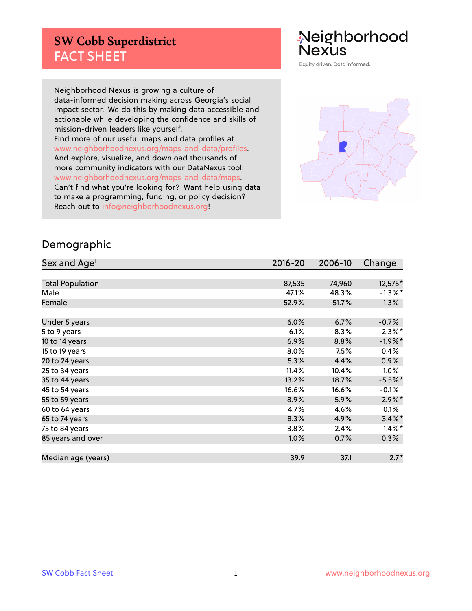# **SW Cobb Superdistrict** FACT SHEET

Neighborhood<br>Nexus

Equity driven. Data informed.

Neighborhood Nexus is growing a culture of data-informed decision making across Georgia's social impact sector. We do this by making data accessible and actionable while developing the confidence and skills of mission-driven leaders like yourself. Find more of our useful maps and data profiles at www.neighborhoodnexus.org/maps-and-data/profiles. And explore, visualize, and download thousands of more community indicators with our DataNexus tool: www.neighborhoodnexus.org/maps-and-data/maps. Can't find what you're looking for? Want help using data to make a programming, funding, or policy decision? Reach out to [info@neighborhoodnexus.org!](mailto:info@neighborhoodnexus.org)



#### Demographic

| Sex and Age <sup>1</sup> | $2016 - 20$ | 2006-10 | Change     |
|--------------------------|-------------|---------|------------|
|                          |             |         |            |
| <b>Total Population</b>  | 87,535      | 74,960  | 12,575*    |
| Male                     | 47.1%       | 48.3%   | $-1.3\%$ * |
| Female                   | 52.9%       | 51.7%   | $1.3\%$    |
|                          |             |         |            |
| Under 5 years            | 6.0%        | 6.7%    | $-0.7%$    |
| 5 to 9 years             | 6.1%        | 8.3%    | $-2.3\%$ * |
| 10 to 14 years           | 6.9%        | 8.8%    | $-1.9%$ *  |
| 15 to 19 years           | 8.0%        | 7.5%    | 0.4%       |
| 20 to 24 years           | 5.3%        | 4.4%    | 0.9%       |
| 25 to 34 years           | 11.4%       | 10.4%   | 1.0%       |
| 35 to 44 years           | 13.2%       | 18.7%   | $-5.5%$ *  |
| 45 to 54 years           | 16.6%       | 16.6%   | $-0.1%$    |
| 55 to 59 years           | 8.9%        | 5.9%    | $2.9\%$ *  |
| 60 to 64 years           | 4.7%        | 4.6%    | 0.1%       |
| 65 to 74 years           | 8.3%        | 4.9%    | $3.4\%$ *  |
| 75 to 84 years           | 3.8%        | 2.4%    | $1.4\%$ *  |
| 85 years and over        | 1.0%        | 0.7%    | $0.3\%$    |
|                          |             |         |            |
| Median age (years)       | 39.9        | 37.1    | $2.7*$     |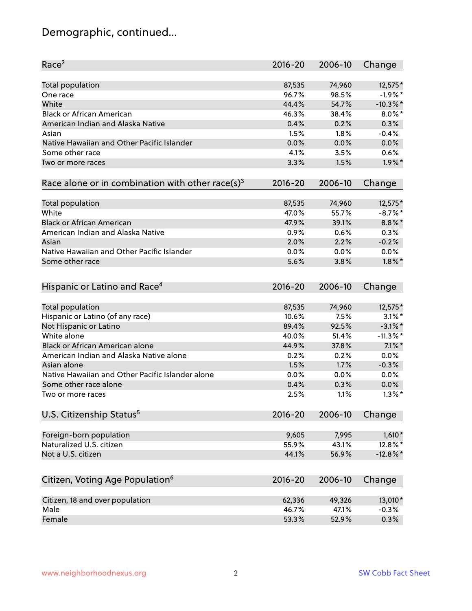# Demographic, continued...

| Race <sup>2</sup>                                            | $2016 - 20$  | 2006-10 | Change      |
|--------------------------------------------------------------|--------------|---------|-------------|
| <b>Total population</b>                                      | 87,535       | 74,960  | 12,575*     |
| One race                                                     | 96.7%        | 98.5%   | $-1.9%$ *   |
| White                                                        | 44.4%        | 54.7%   | $-10.3\%$ * |
| <b>Black or African American</b>                             | 46.3%        | 38.4%   | $8.0\%$ *   |
| American Indian and Alaska Native                            | 0.4%         | 0.2%    | 0.3%        |
| Asian                                                        | 1.5%         | 1.8%    | $-0.4%$     |
| Native Hawaiian and Other Pacific Islander                   | 0.0%         | 0.0%    | 0.0%        |
| Some other race                                              | 4.1%         | 3.5%    | 0.6%        |
| Two or more races                                            | 3.3%         | 1.5%    | $1.9\%$ *   |
| Race alone or in combination with other race(s) <sup>3</sup> | $2016 - 20$  | 2006-10 | Change      |
| <b>Total population</b>                                      | 87,535       | 74,960  | 12,575*     |
| White                                                        | 47.0%        | 55.7%   | $-8.7\%$ *  |
| <b>Black or African American</b>                             | 47.9%        | 39.1%   | 8.8%*       |
| American Indian and Alaska Native                            | 0.9%         | 0.6%    | 0.3%        |
| Asian                                                        | 2.0%         | 2.2%    | $-0.2%$     |
| Native Hawaiian and Other Pacific Islander                   |              |         | 0.0%        |
|                                                              | 0.0%<br>5.6% | 0.0%    |             |
| Some other race                                              |              | 3.8%    | $1.8\%$ *   |
| Hispanic or Latino and Race <sup>4</sup>                     | $2016 - 20$  | 2006-10 | Change      |
| Total population                                             | 87,535       | 74,960  | 12,575*     |
| Hispanic or Latino (of any race)                             | 10.6%        | 7.5%    | $3.1\%$ *   |
| Not Hispanic or Latino                                       | 89.4%        | 92.5%   | $-3.1\%$ *  |
| White alone                                                  | 40.0%        | 51.4%   | $-11.3\%$ * |
| Black or African American alone                              | 44.9%        | 37.8%   | $7.1\%$ *   |
| American Indian and Alaska Native alone                      | 0.2%         | 0.2%    | 0.0%        |
| Asian alone                                                  | 1.5%         | 1.7%    | $-0.3%$     |
| Native Hawaiian and Other Pacific Islander alone             | 0.0%         | 0.0%    | 0.0%        |
| Some other race alone                                        | 0.4%         | 0.3%    | 0.0%        |
| Two or more races                                            | 2.5%         | 1.1%    | $1.3\%$ *   |
| U.S. Citizenship Status <sup>5</sup>                         | 2016-20      | 2006-10 | Change      |
|                                                              |              |         |             |
| Foreign-born population                                      | 9,605        | 7,995   | $1,610*$    |
| Naturalized U.S. citizen                                     | 55.9%        | 43.1%   | 12.8%*      |
| Not a U.S. citizen                                           | 44.1%        | 56.9%   | $-12.8\%$ * |
| Citizen, Voting Age Population <sup>6</sup>                  | 2016-20      | 2006-10 | Change      |
| Citizen, 18 and over population                              | 62,336       | 49,326  | 13,010*     |
| Male                                                         | 46.7%        | 47.1%   | $-0.3%$     |
| Female                                                       | 53.3%        | 52.9%   | 0.3%        |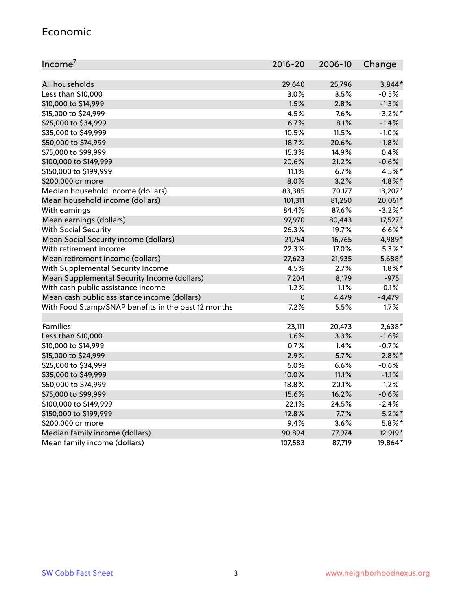#### Economic

| Income <sup>7</sup>                                 | $2016 - 20$ | 2006-10 | Change     |
|-----------------------------------------------------|-------------|---------|------------|
|                                                     |             |         |            |
| All households                                      | 29,640      | 25,796  | 3,844*     |
| Less than \$10,000                                  | 3.0%        | 3.5%    | $-0.5%$    |
| \$10,000 to \$14,999                                | 1.5%        | 2.8%    | $-1.3%$    |
| \$15,000 to \$24,999                                | 4.5%        | 7.6%    | $-3.2%$ *  |
| \$25,000 to \$34,999                                | 6.7%        | 8.1%    | $-1.4%$    |
| \$35,000 to \$49,999                                | 10.5%       | 11.5%   | $-1.0%$    |
| \$50,000 to \$74,999                                | 18.7%       | 20.6%   | $-1.8%$    |
| \$75,000 to \$99,999                                | 15.3%       | 14.9%   | 0.4%       |
| \$100,000 to \$149,999                              | 20.6%       | 21.2%   | $-0.6%$    |
| \$150,000 to \$199,999                              | 11.1%       | 6.7%    | 4.5%*      |
| \$200,000 or more                                   | 8.0%        | 3.2%    | 4.8%*      |
| Median household income (dollars)                   | 83,385      | 70,177  | 13,207*    |
| Mean household income (dollars)                     | 101,311     | 81,250  | 20,061*    |
| With earnings                                       | 84.4%       | 87.6%   | $-3.2\%$ * |
| Mean earnings (dollars)                             | 97,970      | 80,443  | 17,527*    |
| <b>With Social Security</b>                         | 26.3%       | 19.7%   | $6.6\%$ *  |
| Mean Social Security income (dollars)               | 21,754      | 16,765  | 4,989*     |
| With retirement income                              | 22.3%       | 17.0%   | $5.3\%$ *  |
| Mean retirement income (dollars)                    | 27,623      | 21,935  | 5,688*     |
| With Supplemental Security Income                   | 4.5%        | 2.7%    | $1.8\%$ *  |
| Mean Supplemental Security Income (dollars)         | 7,204       | 8,179   | $-975$     |
| With cash public assistance income                  | 1.2%        | 1.1%    | 0.1%       |
| Mean cash public assistance income (dollars)        | $\pmb{0}$   | 4,479   | $-4,479$   |
| With Food Stamp/SNAP benefits in the past 12 months | 7.2%        | 5.5%    | 1.7%       |
|                                                     |             |         |            |
| Families                                            | 23,111      | 20,473  | $2,638*$   |
| Less than \$10,000                                  | 1.6%        | 3.3%    | $-1.6%$    |
| \$10,000 to \$14,999                                | 0.7%        | 1.4%    | $-0.7%$    |
| \$15,000 to \$24,999                                | 2.9%        | 5.7%    | $-2.8\%$ * |
| \$25,000 to \$34,999                                | 6.0%        | 6.6%    | $-0.6%$    |
| \$35,000 to \$49,999                                | 10.0%       | 11.1%   | $-1.1%$    |
| \$50,000 to \$74,999                                | 18.8%       | 20.1%   | $-1.2%$    |
| \$75,000 to \$99,999                                | 15.6%       | 16.2%   | $-0.6%$    |
| \$100,000 to \$149,999                              | 22.1%       | 24.5%   | $-2.4%$    |
| \$150,000 to \$199,999                              | 12.8%       | 7.7%    | $5.2\%$ *  |
| \$200,000 or more                                   | 9.4%        | 3.6%    | $5.8\%$ *  |
| Median family income (dollars)                      | 90,894      | 77,974  | 12,919*    |
| Mean family income (dollars)                        | 107,583     | 87,719  | 19,864*    |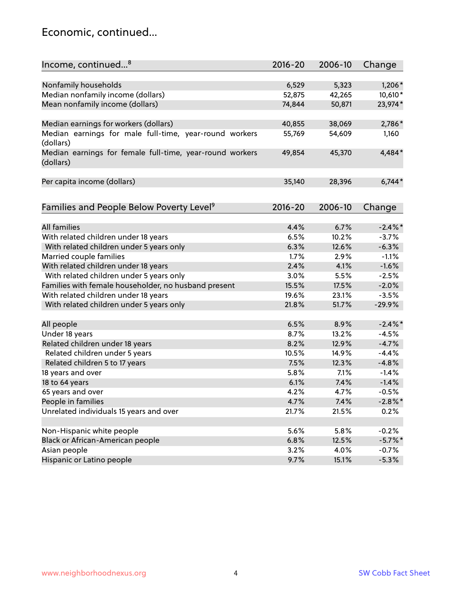#### Economic, continued...

| Income, continued <sup>8</sup>                                        | $2016 - 20$ | 2006-10 | Change     |
|-----------------------------------------------------------------------|-------------|---------|------------|
|                                                                       |             |         |            |
| Nonfamily households                                                  | 6,529       | 5,323   | $1,206*$   |
| Median nonfamily income (dollars)                                     | 52,875      | 42,265  | 10,610*    |
| Mean nonfamily income (dollars)                                       | 74,844      | 50,871  | 23,974*    |
| Median earnings for workers (dollars)                                 | 40,855      | 38,069  | 2,786*     |
| Median earnings for male full-time, year-round workers                | 55,769      | 54,609  | 1,160      |
| (dollars)                                                             |             |         |            |
| Median earnings for female full-time, year-round workers<br>(dollars) | 49,854      | 45,370  | 4,484*     |
| Per capita income (dollars)                                           | 35,140      | 28,396  | $6,744*$   |
|                                                                       |             |         |            |
| Families and People Below Poverty Level <sup>9</sup>                  | $2016 - 20$ | 2006-10 | Change     |
|                                                                       |             |         |            |
| <b>All families</b>                                                   | 4.4%        | 6.7%    | $-2.4\%$ * |
| With related children under 18 years                                  | 6.5%        | 10.2%   | $-3.7%$    |
| With related children under 5 years only                              | 6.3%        | 12.6%   | $-6.3%$    |
| Married couple families                                               | 1.7%        | 2.9%    | $-1.1%$    |
| With related children under 18 years                                  | 2.4%        | 4.1%    | $-1.6%$    |
| With related children under 5 years only                              | 3.0%        | 5.5%    | $-2.5%$    |
| Families with female householder, no husband present                  | 15.5%       | 17.5%   | $-2.0%$    |
| With related children under 18 years                                  | 19.6%       | 23.1%   | $-3.5%$    |
| With related children under 5 years only                              | 21.8%       | 51.7%   | $-29.9%$   |
| All people                                                            | 6.5%        | 8.9%    | $-2.4\%$   |
| Under 18 years                                                        | 8.7%        | 13.2%   | $-4.5%$    |
| Related children under 18 years                                       | 8.2%        | 12.9%   | $-4.7%$    |
| Related children under 5 years                                        | 10.5%       | 14.9%   | $-4.4%$    |
| Related children 5 to 17 years                                        | 7.5%        | 12.3%   | $-4.8%$    |
| 18 years and over                                                     | 5.8%        | 7.1%    | $-1.4%$    |
| 18 to 64 years                                                        | 6.1%        | 7.4%    | $-1.4%$    |
| 65 years and over                                                     | 4.2%        | 4.7%    | $-0.5%$    |
| People in families                                                    | 4.7%        | 7.4%    | $-2.8\%$ * |
| Unrelated individuals 15 years and over                               | 21.7%       | 21.5%   | 0.2%       |
|                                                                       |             |         |            |
| Non-Hispanic white people                                             | 5.6%        | 5.8%    | $-0.2%$    |
| Black or African-American people                                      | 6.8%        | 12.5%   | $-5.7%$ *  |
| Asian people                                                          | 3.2%        | 4.0%    | $-0.7%$    |
| Hispanic or Latino people                                             | 9.7%        | 15.1%   | $-5.3%$    |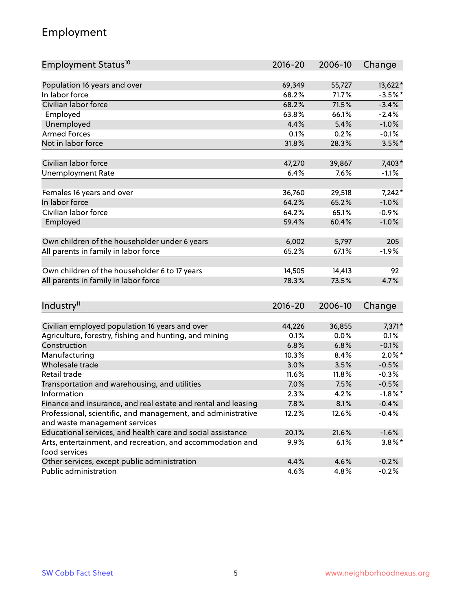# Employment

| Employment Status <sup>10</sup>                                             | $2016 - 20$ | 2006-10        | Change     |
|-----------------------------------------------------------------------------|-------------|----------------|------------|
|                                                                             |             |                |            |
| Population 16 years and over                                                | 69,349      | 55,727         | 13,622*    |
| In labor force                                                              | 68.2%       | 71.7%          | $-3.5%$ *  |
| Civilian labor force                                                        | 68.2%       | 71.5%          | $-3.4%$    |
| Employed                                                                    | 63.8%       | 66.1%          | $-2.4%$    |
| Unemployed                                                                  | 4.4%        | 5.4%           | $-1.0%$    |
| <b>Armed Forces</b>                                                         | 0.1%        | 0.2%           | $-0.1%$    |
| Not in labor force                                                          | 31.8%       | 28.3%          | $3.5\%$ *  |
| Civilian labor force                                                        | 47,270      | 39,867         | $7,403*$   |
| <b>Unemployment Rate</b>                                                    | 6.4%        | 7.6%           | $-1.1%$    |
|                                                                             |             |                |            |
| Females 16 years and over                                                   | 36,760      | 29,518         | $7,242*$   |
| In labor force                                                              | 64.2%       | 65.2%          | $-1.0%$    |
| Civilian labor force                                                        | 64.2%       | 65.1%          | $-0.9%$    |
| Employed                                                                    | 59.4%       | 60.4%          | $-1.0%$    |
|                                                                             |             |                | 205        |
| Own children of the householder under 6 years                               | 6,002       | 5,797<br>67.1% | $-1.9%$    |
| All parents in family in labor force                                        | 65.2%       |                |            |
| Own children of the householder 6 to 17 years                               | 14,505      | 14,413         | 92         |
| All parents in family in labor force                                        | 78.3%       | 73.5%          | 4.7%       |
|                                                                             |             |                |            |
| Industry <sup>11</sup>                                                      | $2016 - 20$ | 2006-10        | Change     |
|                                                                             |             |                |            |
| Civilian employed population 16 years and over                              | 44,226      | 36,855         | $7,371*$   |
| Agriculture, forestry, fishing and hunting, and mining                      | 0.1%        | 0.0%           | 0.1%       |
| Construction                                                                | 6.8%        | 6.8%           | $-0.1%$    |
| Manufacturing                                                               | 10.3%       | 8.4%           | $2.0\%$ *  |
| Wholesale trade                                                             | 3.0%        | 3.5%           | $-0.5%$    |
| Retail trade                                                                | 11.6%       | 11.8%          | $-0.3%$    |
| Transportation and warehousing, and utilities                               | 7.0%        | 7.5%           | $-0.5%$    |
| Information                                                                 | 2.3%        | 4.2%           | $-1.8\%$ * |
| Finance and insurance, and real estate and rental and leasing               | 7.8%        | 8.1%           | $-0.4%$    |
| Professional, scientific, and management, and administrative                | 12.2%       | 12.6%          | $-0.4%$    |
| and waste management services                                               |             |                |            |
| Educational services, and health care and social assistance                 | 20.1%       | 21.6%          | $-1.6%$    |
| Arts, entertainment, and recreation, and accommodation and<br>food services | 9.9%        | 6.1%           | $3.8\%$ *  |
| Other services, except public administration                                | 4.4%        | 4.6%           | $-0.2%$    |
| Public administration                                                       | 4.6%        | 4.8%           | $-0.2%$    |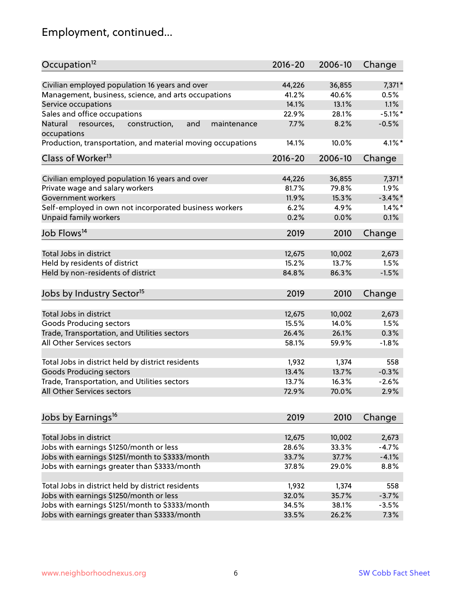# Employment, continued...

| Occupation <sup>12</sup>                                     | $2016 - 20$ | 2006-10 | Change     |
|--------------------------------------------------------------|-------------|---------|------------|
| Civilian employed population 16 years and over               | 44,226      | 36,855  | $7,371*$   |
| Management, business, science, and arts occupations          | 41.2%       | 40.6%   | 0.5%       |
| Service occupations                                          | 14.1%       | 13.1%   | 1.1%       |
| Sales and office occupations                                 | 22.9%       | 28.1%   | $-5.1\%$ * |
| Natural<br>and<br>resources,<br>construction,<br>maintenance | 7.7%        | 8.2%    | $-0.5%$    |
| occupations                                                  |             |         |            |
| Production, transportation, and material moving occupations  | 14.1%       | 10.0%   | $4.1\%$ *  |
| Class of Worker <sup>13</sup>                                | $2016 - 20$ | 2006-10 | Change     |
|                                                              |             |         |            |
| Civilian employed population 16 years and over               | 44,226      | 36,855  | 7,371*     |
| Private wage and salary workers                              | 81.7%       | 79.8%   | 1.9%       |
| Government workers                                           | 11.9%       | 15.3%   | $-3.4\%$ * |
| Self-employed in own not incorporated business workers       | 6.2%        | 4.9%    | $1.4\%$ *  |
| Unpaid family workers                                        | 0.2%        | 0.0%    | 0.1%       |
| Job Flows <sup>14</sup>                                      | 2019        | 2010    | Change     |
|                                                              |             |         |            |
| Total Jobs in district                                       | 12,675      | 10,002  | 2,673      |
| Held by residents of district                                | 15.2%       | 13.7%   | 1.5%       |
| Held by non-residents of district                            | 84.8%       | 86.3%   | $-1.5%$    |
| Jobs by Industry Sector <sup>15</sup>                        | 2019        | 2010    | Change     |
|                                                              |             |         |            |
| Total Jobs in district                                       | 12,675      | 10,002  | 2,673      |
| Goods Producing sectors                                      | 15.5%       | 14.0%   | 1.5%       |
| Trade, Transportation, and Utilities sectors                 | 26.4%       | 26.1%   | 0.3%       |
| <b>All Other Services sectors</b>                            | 58.1%       | 59.9%   | $-1.8%$    |
| Total Jobs in district held by district residents            | 1,932       | 1,374   | 558        |
| <b>Goods Producing sectors</b>                               | 13.4%       | 13.7%   | $-0.3%$    |
|                                                              |             |         |            |
| Trade, Transportation, and Utilities sectors                 | 13.7%       | 16.3%   | $-2.6%$    |
| All Other Services sectors                                   | 72.9%       | 70.0%   | 2.9%       |
| Jobs by Earnings <sup>16</sup>                               | 2019        | 2010    | Change     |
|                                                              |             |         |            |
| Total Jobs in district                                       | 12,675      | 10,002  | 2,673      |
| Jobs with earnings \$1250/month or less                      | 28.6%       | 33.3%   | $-4.7%$    |
| Jobs with earnings \$1251/month to \$3333/month              | 33.7%       | 37.7%   | $-4.1%$    |
| Jobs with earnings greater than \$3333/month                 | 37.8%       | 29.0%   | 8.8%       |
| Total Jobs in district held by district residents            | 1,932       | 1,374   | 558        |
| Jobs with earnings \$1250/month or less                      | 32.0%       | 35.7%   | $-3.7%$    |
|                                                              |             |         | $-3.5%$    |
| Jobs with earnings \$1251/month to \$3333/month              | 34.5%       | 38.1%   |            |
| Jobs with earnings greater than \$3333/month                 | 33.5%       | 26.2%   | 7.3%       |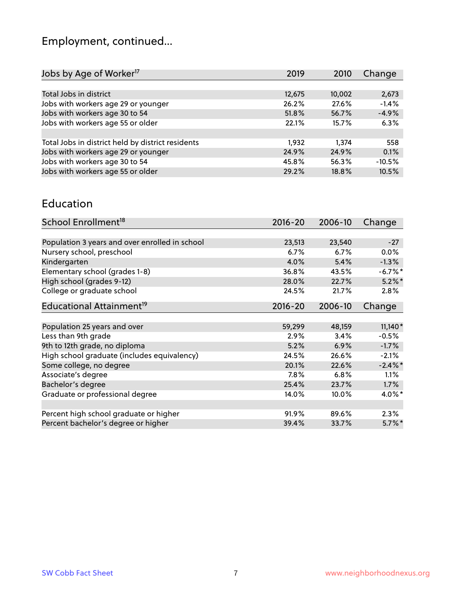# Employment, continued...

| Jobs by Age of Worker <sup>17</sup>               | 2019   | 2010   | Change   |
|---------------------------------------------------|--------|--------|----------|
|                                                   |        |        |          |
| Total Jobs in district                            | 12,675 | 10,002 | 2,673    |
| Jobs with workers age 29 or younger               | 26.2%  | 27.6%  | $-1.4%$  |
| Jobs with workers age 30 to 54                    | 51.8%  | 56.7%  | $-4.9%$  |
| Jobs with workers age 55 or older                 | 22.1%  | 15.7%  | 6.3%     |
|                                                   |        |        |          |
| Total Jobs in district held by district residents | 1.932  | 1.374  | 558      |
| Jobs with workers age 29 or younger               | 24.9%  | 24.9%  | 0.1%     |
| Jobs with workers age 30 to 54                    | 45.8%  | 56.3%  | $-10.5%$ |
| Jobs with workers age 55 or older                 | 29.2%  | 18.8%  | 10.5%    |
|                                                   |        |        |          |

#### Education

| School Enrollment <sup>18</sup>                | $2016 - 20$ | 2006-10 | Change     |
|------------------------------------------------|-------------|---------|------------|
|                                                |             |         |            |
| Population 3 years and over enrolled in school | 23,513      | 23,540  | $-27$      |
| Nursery school, preschool                      | 6.7%        | 6.7%    | $0.0\%$    |
| Kindergarten                                   | 4.0%        | 5.4%    | $-1.3%$    |
| Elementary school (grades 1-8)                 | 36.8%       | 43.5%   | $-6.7\%$ * |
| High school (grades 9-12)                      | 28.0%       | 22.7%   | $5.2\%$ *  |
| College or graduate school                     | 24.5%       | 21.7%   | 2.8%       |
| Educational Attainment <sup>19</sup>           | $2016 - 20$ | 2006-10 | Change     |
|                                                |             |         |            |
| Population 25 years and over                   | 59,299      | 48,159  | $11,140*$  |
| Less than 9th grade                            | 2.9%        | 3.4%    | $-0.5%$    |
| 9th to 12th grade, no diploma                  | 5.2%        | 6.9%    | $-1.7%$    |
| High school graduate (includes equivalency)    | 24.5%       | 26.6%   | $-2.1%$    |
| Some college, no degree                        | 20.1%       | 22.6%   | $-2.4\%$   |
| Associate's degree                             | 7.8%        | 6.8%    | 1.1%       |
| Bachelor's degree                              | 25.4%       | 23.7%   | 1.7%       |
| Graduate or professional degree                | 14.0%       | 10.0%   | $4.0\%$ *  |
|                                                |             |         |            |
| Percent high school graduate or higher         | 91.9%       | 89.6%   | 2.3%       |
| Percent bachelor's degree or higher            | 39.4%       | 33.7%   | $5.7\%$ *  |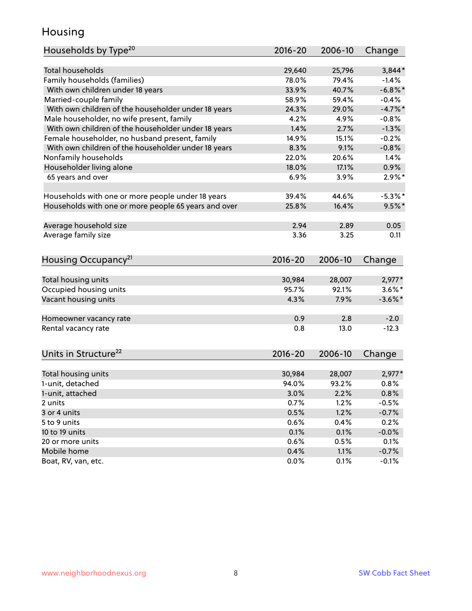#### Housing

| Households by Type <sup>20</sup>                     | 2016-20 | 2006-10 | Change     |
|------------------------------------------------------|---------|---------|------------|
|                                                      |         |         |            |
| <b>Total households</b>                              | 29,640  | 25,796  | $3,844*$   |
| Family households (families)                         | 78.0%   | 79.4%   | $-1.4%$    |
| With own children under 18 years                     | 33.9%   | 40.7%   | $-6.8\%$ * |
| Married-couple family                                | 58.9%   | 59.4%   | $-0.4%$    |
| With own children of the householder under 18 years  | 24.3%   | 29.0%   | $-4.7\%$ * |
| Male householder, no wife present, family            | 4.2%    | 4.9%    | $-0.8%$    |
| With own children of the householder under 18 years  | 1.4%    | 2.7%    | $-1.3%$    |
| Female householder, no husband present, family       | 14.9%   | 15.1%   | $-0.2%$    |
| With own children of the householder under 18 years  | 8.3%    | 9.1%    | $-0.8%$    |
| Nonfamily households                                 | 22.0%   | 20.6%   | 1.4%       |
| Householder living alone                             | 18.0%   | 17.1%   | 0.9%       |
| 65 years and over                                    | 6.9%    | 3.9%    | $2.9\%$ *  |
|                                                      |         |         |            |
| Households with one or more people under 18 years    | 39.4%   | 44.6%   | $-5.3%$ *  |
| Households with one or more people 65 years and over | 25.8%   | 16.4%   | $9.5%$ *   |
|                                                      |         |         |            |
| Average household size                               | 2.94    | 2.89    | 0.05       |
| Average family size                                  | 3.36    | 3.25    | 0.11       |
|                                                      |         |         |            |
| Housing Occupancy <sup>21</sup>                      | 2016-20 | 2006-10 | Change     |
|                                                      |         |         |            |
| Total housing units                                  | 30,984  | 28,007  | $2,977*$   |
| Occupied housing units                               | 95.7%   | 92.1%   | $3.6\%$ *  |
| Vacant housing units                                 | 4.3%    | 7.9%    | $-3.6\%$ * |
|                                                      |         |         |            |
| Homeowner vacancy rate                               | 0.9     | 2.8     | $-2.0$     |
| Rental vacancy rate                                  | 0.8     | 13.0    | $-12.3$    |
|                                                      |         |         |            |
| Units in Structure <sup>22</sup>                     | 2016-20 | 2006-10 | Change     |
|                                                      |         |         |            |
| Total housing units                                  | 30,984  | 28,007  | $2,977*$   |
| 1-unit, detached                                     | 94.0%   | 93.2%   | 0.8%       |
| 1-unit, attached                                     | 3.0%    | 2.2%    | 0.8%       |
| 2 units                                              | 0.7%    | 1.2%    | $-0.5%$    |
| 3 or 4 units                                         | 0.5%    | 1.2%    | $-0.7%$    |
| 5 to 9 units                                         | 0.6%    | 0.4%    | 0.2%       |
| 10 to 19 units                                       | 0.1%    | 0.1%    | $-0.0%$    |
| 20 or more units                                     | 0.6%    | 0.5%    | 0.1%       |
| Mobile home                                          | 0.4%    | 1.1%    | $-0.7%$    |
| Boat, RV, van, etc.                                  | 0.0%    | 0.1%    | $-0.1%$    |
|                                                      |         |         |            |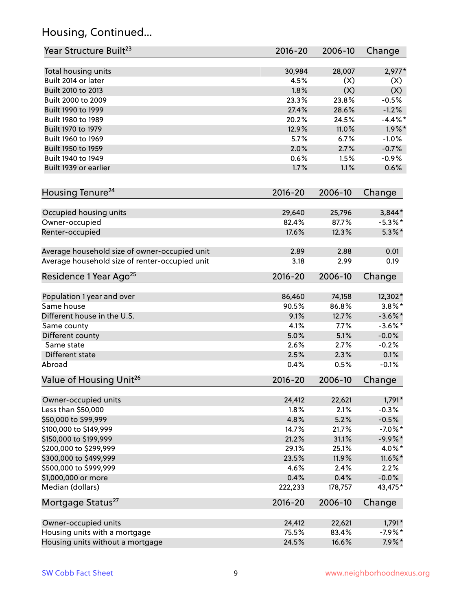# Housing, Continued...

| Year Structure Built <sup>23</sup>             | 2016-20     | 2006-10 | Change     |
|------------------------------------------------|-------------|---------|------------|
| Total housing units                            | 30,984      | 28,007  | $2,977*$   |
| Built 2014 or later                            | 4.5%        | (X)     | (X)        |
| Built 2010 to 2013                             | 1.8%        | (X)     | (X)        |
| Built 2000 to 2009                             | 23.3%       | 23.8%   | $-0.5%$    |
| Built 1990 to 1999                             | 27.4%       | 28.6%   | $-1.2%$    |
| Built 1980 to 1989                             | 20.2%       | 24.5%   | $-4.4\%$ * |
| Built 1970 to 1979                             | 12.9%       | 11.0%   | $1.9\%$ *  |
| Built 1960 to 1969                             | 5.7%        | 6.7%    | $-1.0%$    |
| Built 1950 to 1959                             | 2.0%        | 2.7%    | $-0.7%$    |
| Built 1940 to 1949                             | 0.6%        | 1.5%    | $-0.9%$    |
| Built 1939 or earlier                          | 1.7%        | 1.1%    | 0.6%       |
|                                                |             |         |            |
| Housing Tenure <sup>24</sup>                   | $2016 - 20$ | 2006-10 | Change     |
| Occupied housing units                         | 29,640      | 25,796  | $3,844*$   |
| Owner-occupied                                 | 82.4%       | 87.7%   | $-5.3\%$ * |
| Renter-occupied                                | 17.6%       | 12.3%   | $5.3\%$ *  |
| Average household size of owner-occupied unit  | 2.89        | 2.88    | 0.01       |
| Average household size of renter-occupied unit | 3.18        | 2.99    | 0.19       |
| Residence 1 Year Ago <sup>25</sup>             | 2016-20     | 2006-10 | Change     |
|                                                |             |         |            |
| Population 1 year and over                     | 86,460      | 74,158  | 12,302*    |
| Same house                                     | 90.5%       | 86.8%   | $3.8\%$ *  |
| Different house in the U.S.                    | 9.1%        | 12.7%   | $-3.6\%$ * |
| Same county                                    | 4.1%        | 7.7%    | $-3.6\%$ * |
| Different county                               | 5.0%        | 5.1%    | $-0.0%$    |
| Same state                                     | 2.6%        | 2.7%    | $-0.2%$    |
| Different state                                | 2.5%        | 2.3%    | 0.1%       |
| Abroad                                         | 0.4%        | 0.5%    | $-0.1%$    |
| Value of Housing Unit <sup>26</sup>            | $2016 - 20$ | 2006-10 | Change     |
| Owner-occupied units                           | 24,412      | 22,621  | $1,791*$   |
| Less than \$50,000                             | 1.8%        | 2.1%    | $-0.3%$    |
| \$50,000 to \$99,999                           | 4.8%        | 5.2%    | $-0.5%$    |
| \$100,000 to \$149,999                         | 14.7%       | 21.7%   | $-7.0\%$ * |
| \$150,000 to \$199,999                         | 21.2%       | 31.1%   | $-9.9\%*$  |
| \$200,000 to \$299,999                         | 29.1%       | 25.1%   | $4.0\%$ *  |
| \$300,000 to \$499,999                         | 23.5%       | 11.9%   | $11.6\%$ * |
| \$500,000 to \$999,999                         | 4.6%        | 2.4%    | 2.2%       |
| \$1,000,000 or more                            | 0.4%        | 0.4%    | $-0.0%$    |
| Median (dollars)                               | 222,233     | 178,757 | 43,475*    |
| Mortgage Status <sup>27</sup>                  | 2016-20     | 2006-10 | Change     |
| Owner-occupied units                           | 24,412      | 22,621  | $1,791*$   |
| Housing units with a mortgage                  | 75.5%       | 83.4%   | $-7.9%$ *  |
| Housing units without a mortgage               | 24.5%       | 16.6%   | $7.9\%*$   |
|                                                |             |         |            |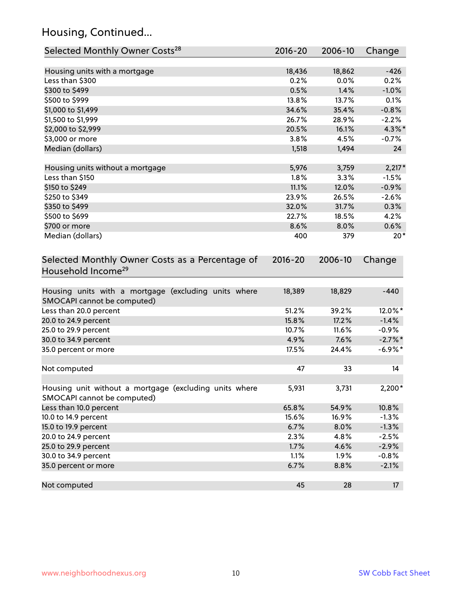# Housing, Continued...

| Selected Monthly Owner Costs <sup>28</sup>                                            | 2016-20 | 2006-10 | Change          |
|---------------------------------------------------------------------------------------|---------|---------|-----------------|
| Housing units with a mortgage                                                         | 18,436  | 18,862  | $-426$          |
| Less than \$300                                                                       | 0.2%    | 0.0%    | 0.2%            |
| \$300 to \$499                                                                        | 0.5%    | 1.4%    | $-1.0%$         |
| \$500 to \$999                                                                        | 13.8%   | 13.7%   | 0.1%            |
| \$1,000 to \$1,499                                                                    | 34.6%   | 35.4%   | $-0.8%$         |
| \$1,500 to \$1,999                                                                    | 26.7%   | 28.9%   | $-2.2%$         |
| \$2,000 to \$2,999                                                                    | 20.5%   | 16.1%   | $4.3\%$ *       |
| \$3,000 or more                                                                       | 3.8%    | 4.5%    | $-0.7%$         |
| Median (dollars)                                                                      | 1,518   | 1,494   | 24              |
| Housing units without a mortgage                                                      | 5,976   | 3,759   | $2,217*$        |
| Less than \$150                                                                       | 1.8%    | 3.3%    | $-1.5%$         |
| \$150 to \$249                                                                        | 11.1%   | 12.0%   | $-0.9%$         |
| \$250 to \$349                                                                        | 23.9%   | 26.5%   | $-2.6%$         |
| \$350 to \$499                                                                        | 32.0%   | 31.7%   | 0.3%            |
| \$500 to \$699                                                                        | 22.7%   | 18.5%   | 4.2%            |
| \$700 or more                                                                         | 8.6%    | 8.0%    | 0.6%            |
| Median (dollars)                                                                      | 400     | 379     | $20*$           |
| Household Income <sup>29</sup>                                                        |         |         |                 |
| Housing units with a mortgage (excluding units where<br>SMOCAPI cannot be computed)   | 18,389  | 18,829  | $-440$          |
| Less than 20.0 percent                                                                | 51.2%   | 39.2%   | 12.0%*          |
| 20.0 to 24.9 percent                                                                  | 15.8%   | 17.2%   | $-1.4%$         |
| 25.0 to 29.9 percent                                                                  | 10.7%   | 11.6%   | $-0.9\%$        |
| 30.0 to 34.9 percent                                                                  | 4.9%    | 7.6%    | $-2.7\%$ *      |
| 35.0 percent or more                                                                  | 17.5%   | 24.4%   | $-6.9\%$ *      |
| Not computed                                                                          | 47      | 33      | 14              |
| Housing unit without a mortgage (excluding units where<br>SMOCAPI cannot be computed) | 5,931   | 3,731   | 2,200*          |
| Less than 10.0 percent                                                                | 65.8%   | 54.9%   | 10.8%           |
| 10.0 to 14.9 percent                                                                  | 15.6%   | 16.9%   | $-1.3%$         |
| 15.0 to 19.9 percent                                                                  | 6.7%    | 8.0%    | $-1.3%$         |
| 20.0 to 24.9 percent                                                                  | 2.3%    | 4.8%    | $-2.5%$         |
| 25.0 to 29.9 percent                                                                  | 1.7%    | 4.6%    | $-2.9%$         |
| 30.0 to 34.9 percent                                                                  | 1.1%    | 1.9%    | $-0.8%$         |
| 35.0 percent or more                                                                  | 6.7%    | 8.8%    | $-2.1%$         |
| Not computed                                                                          | 45      | 28      | 17 <sup>2</sup> |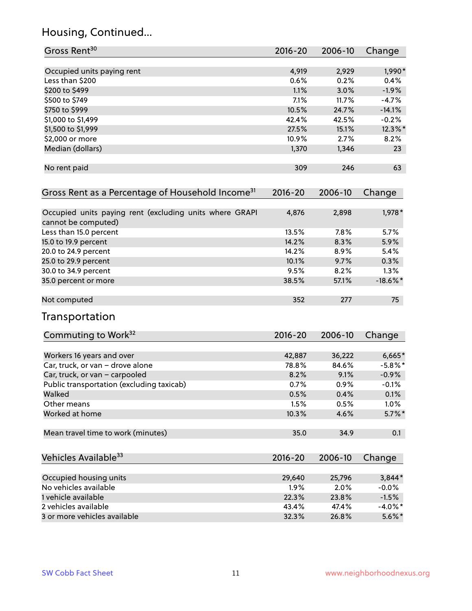# Housing, Continued...

| Gross Rent <sup>30</sup>                                                       | 2016-20     | 2006-10 | Change      |
|--------------------------------------------------------------------------------|-------------|---------|-------------|
| Occupied units paying rent                                                     | 4,919       | 2,929   | 1,990*      |
| Less than \$200                                                                | 0.6%        | 0.2%    | 0.4%        |
| \$200 to \$499                                                                 | 1.1%        | 3.0%    | $-1.9%$     |
| \$500 to \$749                                                                 | 7.1%        | 11.7%   | $-4.7%$     |
| \$750 to \$999                                                                 | 10.5%       | 24.7%   | $-14.1%$    |
| \$1,000 to \$1,499                                                             | 42.4%       | 42.5%   | $-0.2%$     |
| \$1,500 to \$1,999                                                             | 27.5%       | 15.1%   | 12.3%*      |
| \$2,000 or more                                                                | 10.9%       | 2.7%    | 8.2%        |
| Median (dollars)                                                               | 1,370       | 1,346   | 23          |
| No rent paid                                                                   | 309         | 246     | 63          |
| Gross Rent as a Percentage of Household Income <sup>31</sup>                   | $2016 - 20$ | 2006-10 | Change      |
| Occupied units paying rent (excluding units where GRAPI<br>cannot be computed) | 4,876       | 2,898   | 1,978 *     |
| Less than 15.0 percent                                                         | 13.5%       | 7.8%    | 5.7%        |
| 15.0 to 19.9 percent                                                           | 14.2%       | 8.3%    | 5.9%        |
| 20.0 to 24.9 percent                                                           | 14.2%       | 8.9%    | 5.4%        |
| 25.0 to 29.9 percent                                                           | 10.1%       | 9.7%    | 0.3%        |
| 30.0 to 34.9 percent                                                           | 9.5%        | 8.2%    | 1.3%        |
| 35.0 percent or more                                                           | 38.5%       | 57.1%   | $-18.6\%$ * |
| Not computed                                                                   | 352         | 277     | 75          |
| Transportation                                                                 |             |         |             |
| Commuting to Work <sup>32</sup>                                                | 2016-20     | 2006-10 | Change      |
| Workers 16 years and over                                                      | 42,887      | 36,222  | $6,665*$    |
| Car, truck, or van - drove alone                                               | 78.8%       | 84.6%   | $-5.8\%$ *  |
| Car, truck, or van - carpooled                                                 | 8.2%        | 9.1%    | $-0.9%$     |
| Public transportation (excluding taxicab)                                      | 0.7%        | 0.9%    | $-0.1%$     |
| Walked                                                                         | 0.5%        | 0.4%    | 0.1%        |
| Other means                                                                    | 1.5%        | 0.5%    | 1.0%        |
| Worked at home                                                                 | 10.3%       | 4.6%    | $5.7\%$ *   |
| Mean travel time to work (minutes)                                             | 35.0        | 34.9    | 0.1         |
| Vehicles Available <sup>33</sup>                                               | $2016 - 20$ | 2006-10 | Change      |
| Occupied housing units                                                         | 29,640      | 25,796  | $3,844*$    |
| No vehicles available                                                          | 1.9%        | 2.0%    | $-0.0%$     |
| 1 vehicle available                                                            | 22.3%       | 23.8%   | $-1.5%$     |
| 2 vehicles available                                                           | 43.4%       | 47.4%   | $-4.0\%$ *  |
| 3 or more vehicles available                                                   | 32.3%       | 26.8%   | $5.6\%$ *   |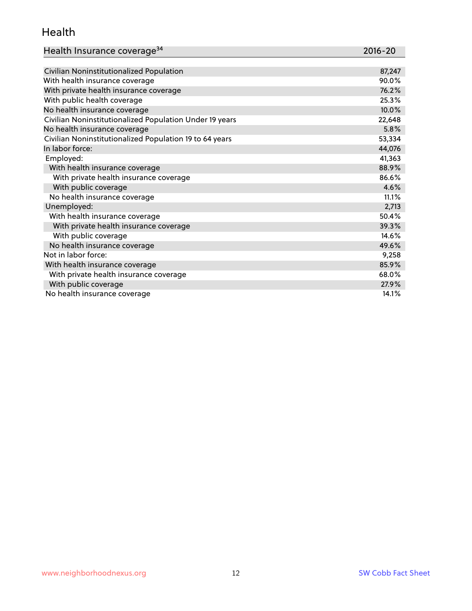#### Health

| Health Insurance coverage <sup>34</sup> | 2016-20 |
|-----------------------------------------|---------|
|-----------------------------------------|---------|

| Civilian Noninstitutionalized Population                | 87,247 |
|---------------------------------------------------------|--------|
| With health insurance coverage                          | 90.0%  |
| With private health insurance coverage                  | 76.2%  |
| With public health coverage                             | 25.3%  |
| No health insurance coverage                            | 10.0%  |
| Civilian Noninstitutionalized Population Under 19 years | 22,648 |
| No health insurance coverage                            | 5.8%   |
| Civilian Noninstitutionalized Population 19 to 64 years | 53,334 |
| In labor force:                                         | 44,076 |
| Employed:                                               | 41,363 |
| With health insurance coverage                          | 88.9%  |
| With private health insurance coverage                  | 86.6%  |
| With public coverage                                    | 4.6%   |
| No health insurance coverage                            | 11.1%  |
| Unemployed:                                             | 2,713  |
| With health insurance coverage                          | 50.4%  |
| With private health insurance coverage                  | 39.3%  |
| With public coverage                                    | 14.6%  |
| No health insurance coverage                            | 49.6%  |
| Not in labor force:                                     | 9,258  |
| With health insurance coverage                          | 85.9%  |
| With private health insurance coverage                  | 68.0%  |
| With public coverage                                    | 27.9%  |
| No health insurance coverage                            | 14.1%  |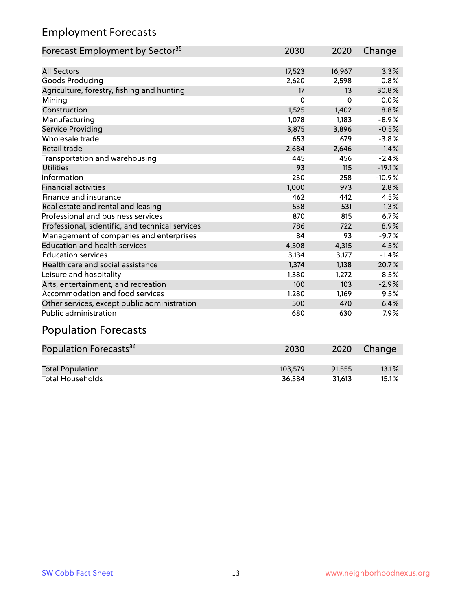# Employment Forecasts

| Forecast Employment by Sector <sup>35</sup>      | 2030     | 2020   | Change   |
|--------------------------------------------------|----------|--------|----------|
|                                                  |          |        |          |
| <b>All Sectors</b>                               | 17,523   | 16,967 | 3.3%     |
| Goods Producing                                  | 2,620    | 2,598  | 0.8%     |
| Agriculture, forestry, fishing and hunting       | 17       | 13     | 30.8%    |
| Mining                                           | $\Omega$ | 0      | 0.0%     |
| Construction                                     | 1,525    | 1,402  | 8.8%     |
| Manufacturing                                    | 1,078    | 1,183  | $-8.9%$  |
| Service Providing                                | 3,875    | 3,896  | $-0.5%$  |
| Wholesale trade                                  | 653      | 679    | $-3.8%$  |
| Retail trade                                     | 2,684    | 2,646  | 1.4%     |
| Transportation and warehousing                   | 445      | 456    | $-2.4%$  |
| <b>Utilities</b>                                 | 93       | 115    | $-19.1%$ |
| Information                                      | 230      | 258    | $-10.9%$ |
| <b>Financial activities</b>                      | 1,000    | 973    | 2.8%     |
| Finance and insurance                            | 462      | 442    | 4.5%     |
| Real estate and rental and leasing               | 538      | 531    | 1.3%     |
| Professional and business services               | 870      | 815    | 6.7%     |
| Professional, scientific, and technical services | 786      | 722    | 8.9%     |
| Management of companies and enterprises          | 84       | 93     | $-9.7%$  |
| <b>Education and health services</b>             | 4,508    | 4,315  | 4.5%     |
| <b>Education services</b>                        | 3,134    | 3,177  | $-1.4%$  |
| Health care and social assistance                | 1,374    | 1,138  | 20.7%    |
|                                                  | 1,380    | 1,272  | 8.5%     |
| Arts, entertainment, and recreation              | 100      | 103    | $-2.9%$  |
| Accommodation and food services                  | 1,280    | 1,169  | 9.5%     |
| Other services, except public administration     | 500      | 470    | 6.4%     |
| Public administration                            | 680      | 630    | 7.9%     |
| Leisure and hospitality<br>.                     |          |        |          |

#### Population Forecasts

| Population Forecasts <sup>36</sup> | 2030    | 2020   | Change |
|------------------------------------|---------|--------|--------|
|                                    |         |        |        |
| <b>Total Population</b>            | 103.579 | 91.555 | 13.1%  |
| <b>Total Households</b>            | 36.384  | 31.613 | 15.1%  |